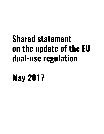# **Shared statement on the update of the EU dual-use regulation**

# **May 2017**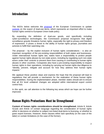#### **Introduction**

The NGOs below welcome th[e](http://trade.ec.europa.eu/doclib/html/154976.htm) [proposal](http://trade.ec.europa.eu/doclib/html/154976.htm) of the European Commission to updat[e](http://eur-lex.europa.eu/LexUriServ/LexUriServ.do?uri=OJ:L:2009:134:0001:0269:en:PDF) [controls](http://eur-lex.europa.eu/LexUriServ/LexUriServ.do?uri=OJ:L:2009:134:0001:0269:en:PDF) on the export of dual-use items, which represents an important effort to make human rights central to European Union trade policy.

By expanding the definition of dual-use goods, and specifically including cyber-surveillance technologies, the Commission proposal recognizes that digital surveillance gravely threatens human rights; especially the right to privacy and freedom of expression. It poses a threat to the ability of human rights groups, journalists and activists to fulfill their watchdog role.

The proposal – by the explicit inclusion of human rights considerations – is also an important recognition of the pre-existing responsibilities of both states and businesses. Under international human rights law, states have a responsibility to protect people against human rights abuses by non-state actors, including by regulating such non-state actors under their controls to prevent them from causing or contributing to human rights abuses in other countries. Companies also have a pre-existing responsibility to respect human rights in their operations, including by carrying out human rights due diligence to "identify, prevent, mitigate and account for how they address their human rights impacts."

We applaud these positive steps and express the hope that the proposal will lead to regulations that will provide a mechanism for the realization of these human rights responsibilities. During the implementation phase, member states should aim to ensure that all EU level unilateral changes are adopted within international export control control lists.

In this spirit, we call attention to the following key areas which we hope can be further improved;

### **Human Rights Protections Must be Strengthened**

**Content of human rights considerations should be strengthened.** Article 8, Article 4(1)(d) and Article 14 contain language regarding the consideration of human rights either in decisions on whether to subject non-listed dual-items to licensing, or whether to grant export licenses. However, these clauses either lack specificity (in the case of the latter) or contain limitations (in the case of the former).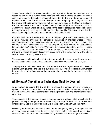These clauses should be strengthened to guard against all risks to human rights and to recognize that serious human rights violations may occur outside situations of armed conflict or recognized situations of internal repression. In doing so, the proposal should require the consideration of relevant European human rights protections, such as the EU Charter of Fundamental Rights as well as those developed by the Court of Justice of the European Union, and the European Court of Human Rights, such as the opinion in *Zakharov v. Russia*, which offers guidance on the specific safeguards needed to ensure that secret surveillance complies with human rights law. The EU should ensure that the same human rights standards apply abroad as do inside the EU.

**Exports that pose a substantial risk to human rights must be denied.** Article 14(1)(b) requires only that the competent authorities in Member States – when considering export authorizations –"take into account… respect for human rights in the country of final destination as well as respect by that country of international humanitarian law," while Article 14(1)(c) mandates consideration of the internal situation in that country, such as the existence of armed conflict. However, Article 14 does not mandate a denial of export licenses in cases where the consideration of the above criteria reveal human rights concerns.

The proposal should make clear that states are required to deny export licenses where there is a substantial risk that those exports could be used to violate human rights.

The proposal should also make clear that where there is no legal framework in place in a destination governing the use of a surveillance item, or where the legal framework for its use falls short of international human rights law or standards, the export must be denied.

#### **All Relevant Surveillance Technology Must be Covered**

A mechanism to update the EU control list should be agreed, which will decide on updates to the EU control list in a transparent and consultative manner, taking into account the expertise of all stakeholders, including civil society, and international human rights law.

The extension of the catch-all clause in the proposal is a welcome step which holds the potential to help future-proof export controls by allowing for the inclusion of new and emerging dual-use technology on the basis of the potential for human rights harms.

However, as drafted, the catch-all clauses do not adequately clarify the responsibilities of either states or businesses to assess the human rights risks posed by non-listed dual-use items. As such, this clause risks failing to achieve its human rights potential.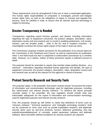These requirements must be strengthened if they are to have a meaningful application. The human rights responsibilities of companies to investigate, prevent and mitigate human rights risks, as well as the obligations of states to oversee and regulate this process, must be clarified in order to ensure that all relevant dual-use technology is subject to licensing.

## **Greater Transparency is Needed**

Transparency regarding export licenses granted, and denied, including information regarding the type of equipment concerned, the product category, description, value, destination country and end use/end user is crucial in enabling parliaments, civil society, industry, and the broader public – both in the EU and in recipient countries – to meaningfully scrutinize the human rights impact of the trade in dual-use items.

The Commission proposal contains provisions for the publication of an annual report by the Commission to the Parliament and Council, as well as requirements for publication when a non-listed dual-use item is subjected to authorization procedures by a member state. However, as it stands, neither of these provisions require a sufficient amount of detail.

The proposal should be amended to require that member states publicly disclose – at a minimum – information regarding individual license approvals and denials, the type of equipment concerned, the product category, description, value, destination country and end use/end user as well as the reasons for the approval or denial of licenses.

### **Protect Security Research and Security Tools**

The proposal states, in the preamble, that export controls should "not prevent the export of information and communication technology used for legitimate purposes, including law enforcement and internet security research." To reinforce the above principle currently stated in the preamble, the new regulation should include clear and enforceable safeguards for the export of information and communication technology used for legitimate purposes and internet security research.

First, the proposal should go still further to clarify that definitions of terms such as "intrusion software," "technical assistance" and "intangible technology transfers" shall not be construed to cover uses such as private exploitation research, and legitimate security items such as anti-virus products, fuzzers, defensive pentesting, zero day exploits/vulnerabilities/proof of concepts, exploit generation software and jailbreak software. More and better defined exceptions for security research are required.